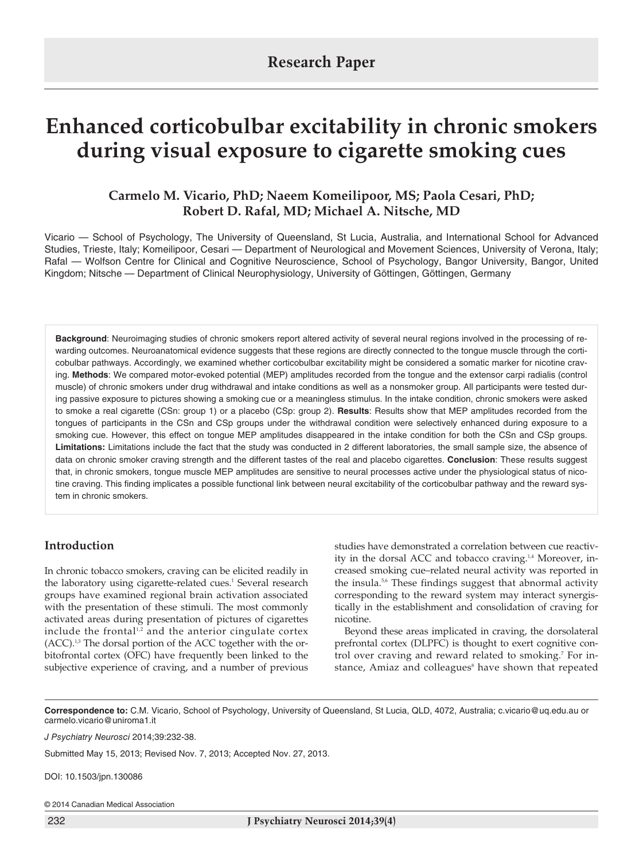# **Enhanced corticobulbar excitability in chronic smokers during visual exposure to cigarette smoking cues**

## **Carmelo M. Vicario, PhD; Naeem Komeilipoor, MS; Paola Cesari, PhD; Robert D. Rafal, MD; Michael A. Nitsche, MD**

Vicario — School of Psychology, The University of Queensland, St Lucia, Australia, and International School for Advanced Studies, Trieste, Italy; Komeilipoor, Cesari — Department of Neurological and Movement Sciences, University of Verona, Italy; Rafal — Wolfson Centre for Clinical and Cognitive Neuroscience, School of Psychology, Bangor University, Bangor, United Kingdom; Nitsche — Department of Clinical Neurophysiology, University of Göttingen, Göttingen, Germany

**Background**: Neuroimaging studies of chronic smokers report altered activity of several neural regions involved in the processing of rewarding outcomes. Neuroanatomical evidence suggests that these regions are directly connected to the tongue muscle through the corticobulbar pathways. Accordingly, we examined whether corticobulbar excitability might be considered a somatic marker for nicotine craving. **Methods**: We compared motor-evoked potential (MEP) amplitudes recorded from the tongue and the extensor carpi radialis (control muscle) of chronic smokers under drug withdrawal and intake conditions as well as a nonsmoker group. All participants were tested during passive exposure to pictures showing a smoking cue or a meaningless stimulus. In the intake condition, chronic smokers were asked to smoke a real cigarette (CSn: group 1) or a placebo (CSp: group 2). **Results**: Results show that MEP amplitudes recorded from the tongues of participants in the CSn and CSp groups under the withdrawal condition were selectively enhanced during exposure to a smoking cue. However, this effect on tongue MEP amplitudes disappeared in the intake condition for both the CSn and CSp groups. **Limitations:** Limitations include the fact that the study was conducted in 2 different laboratories, the small sample size, the absence of data on chronic smoker craving strength and the different tastes of the real and placebo cigarettes. **Conclusion**: These results suggest that, in chronic smokers, tongue muscle MEP amplitudes are sensitive to neural processes active under the physiological status of nicotine craving. This finding implicates a possible functional link between neural excitability of the corticobulbar pathway and the reward system in chronic smokers.

## **Introduction**

In chronic tobacco smokers, craving can be elicited readily in the laboratory using cigarette-related cues. <sup>1</sup> Several research groups have examined regional brain activation associated with the presentation of these stimuli. The most commonly activated areas during presentation of pictures of cigarettes include the frontal1,2 and the anterior cingulate cortex  $(ACC)^{1,3}$  The dorsal portion of the ACC together with the orbitofrontal cortex (OFC) have frequently been linked to the subjective experience of craving, and a number of previous studies have demonstrated a correlation between cue reactivity in the dorsal ACC and tobacco craving.<sup>1,4</sup> Moreover, increased smoking cue–related neural activity was reported in the insula.<sup>5,6</sup> These findings suggest that abnormal activity corresponding to the reward system may interact synergistically in the establishment and consolidation of craving for nicotine.

Beyond these areas implicated in craving, the dorsolateral prefrontal cortex (DLPFC) is thought to exert cognitive control over craving and reward related to smoking. <sup>7</sup> For instance, Amiaz and colleagues<sup>8</sup> have shown that repeated

**Correspondence to:** C.M. Vicario, School of Psychology, University of Queensland, St Lucia, QLD, 4072, Australia; c.vicario@uq.edu.au or carmelo.vicario@uniroma1.it

*J Psychiatry Neurosci* 2014;39:232-38.

Submitted May 15, 2013; Revised Nov. 7, 2013; Accepted Nov. 27, 2013.

DOI: 10.1503/jpn.130086

© 2014 Canadian Medical Association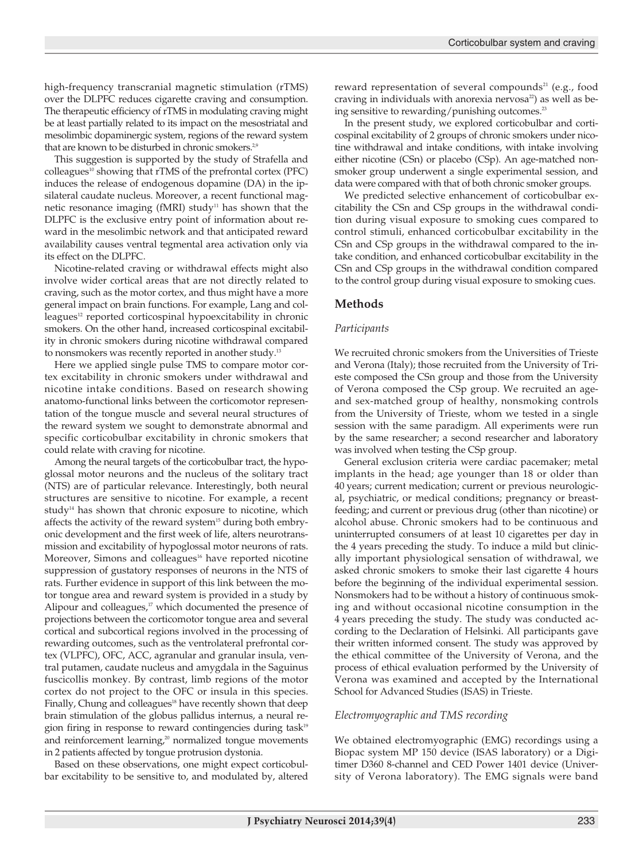high-frequency transcranial magnetic stimulation (rTMS) over the DLPFC reduces cigarette craving and consumption. The therapeutic efficiency of rTMS in modulating craving might be at least partially related to its impact on the mesostriatal and mesolimbic dopaminergic system, regions of the reward system that are known to be disturbed in chronic smokers.<sup>2,9</sup>

This suggestion is supported by the study of Strafella and  $\text{colleagues}^{10}$  showing that rTMS of the prefrontal cortex (PFC) induces the release of endogenous dopamine (DA) in the ipsilateral caudate nucleus. Moreover, a recent functional magnetic resonance imaging (fMRI) study<sup>11</sup> has shown that the DLPFC is the exclusive entry point of information about reward in the mesolimbic network and that anticipated reward availability causes ventral tegmental area activation only via its effect on the DLPFC.

Nicotine-related craving or withdrawal effects might also involve wider cortical areas that are not directly related to craving, such as the motor cortex, and thus might have a more general impact on brain functions. For example, Lang and colleagues<sup>12</sup> reported corticospinal hypoexcitability in chronic smokers. On the other hand, increased corticospinal excitability in chronic smokers during nicotine withdrawal compared to nonsmokers was recently reported in another study.<sup>13</sup>

Here we applied single pulse TMS to compare motor cortex excitability in chronic smokers under withdrawal and nicotine intake conditions. Based on research showing anatomo-functional links between the corticomotor representation of the tongue muscle and several neural structures of the reward system we sought to demonstrate abnormal and specific corticobulbar excitability in chronic smokers that could relate with craving for nicotine.

Among the neural targets of the corticobulbar tract, the hypoglossal motor neurons and the nucleus of the solitary tract (NTS) are of particular relevance. Interestingly, both neural structures are sensitive to nicotine. For example, a recent study $14$  has shown that chronic exposure to nicotine, which affects the activity of the reward system<sup>15</sup> during both embryonic development and the first week of life, alters neurotransmission and excitability of hypoglossal motor neurons of rats. Moreover, Simons and colleagues<sup>16</sup> have reported nicotine suppression of gustatory responses of neurons in the NTS of rats. Further evidence in support of this link between the motor tongue area and reward system is provided in a study by Alipour and colleagues,<sup>17</sup> which documented the presence of projections between the corticomotor tongue area and several cortical and subcortical regions involved in the processing of rewarding outcomes, such as the ventrolateral prefrontal cortex (VLPFC), OFC, ACC, agranular and granular insula, ventral putamen, caudate nucleus and amygdala in the Saguinus fuscicollis monkey. By contrast, limb regions of the motor cortex do not project to the OFC or insula in this species. Finally, Chung and colleagues<sup>18</sup> have recently shown that deep brain stimulation of the globus pallidus internus, a neural region firing in response to reward contingencies during task<sup>19</sup> and reinforcement learning, <sup>20</sup> normalized tongue movements in 2 patients affected by tongue protrusion dystonia.

Based on these observations, one might expect corticobulbar excitability to be sensitive to, and modulated by, altered reward representation of several compounds<sup>21</sup> (e.g., food craving in individuals with anorexia nervosa<sup>22</sup>) as well as being sensitive to rewarding/punishing outcomes. 23

In the present study, we explored corticobulbar and corticospinal excitability of 2 groups of chronic smokers under nicotine withdrawal and intake conditions, with intake involving either nicotine (CSn) or placebo (CSp). An age-matched nonsmoker group underwent a single experimental session, and data were compared with that of both chronic smoker groups.

We predicted selective enhancement of corticobulbar excitability the CSn and CSp groups in the withdrawal condition during visual exposure to smoking cues compared to control stimuli, enhanced corticobulbar excitability in the CSn and CSp groups in the withdrawal compared to the intake condition, and enhanced corticobulbar excitability in the CSn and CSp groups in the withdrawal condition compared to the control group during visual exposure to smoking cues.

## **Methods**

#### *Participants*

We recruited chronic smokers from the Universities of Trieste and Verona (Italy); those recruited from the University of Trieste composed the CSn group and those from the University of Verona composed the CSp group. We recruited an ageand sex-matched group of healthy, nonsmoking controls from the University of Trieste, whom we tested in a single session with the same paradigm. All experiments were run by the same researcher; a second researcher and laboratory was involved when testing the CSp group.

General exclusion criteria were cardiac pacemaker; metal implants in the head; age younger than 18 or older than 40 years; current medication; current or previous neurological, psychiatric, or medical conditions; pregnancy or breastfeeding; and current or previous drug (other than nicotine) or alcohol abuse. Chronic smokers had to be continuous and uninterrupted consumers of at least 10 cigarettes per day in the 4 years preceding the study. To induce a mild but clinically important physiological sensation of withdrawal, we asked chronic smokers to smoke their last cigarette 4 hours before the beginning of the individual experimental session. Nonsmokers had to be without a history of continuous smoking and without occasional nicotine consumption in the 4 years preceding the study. The study was conducted according to the Declaration of Helsinki. All participants gave their written informed consent. The study was approved by the ethical committee of the University of Verona, and the process of ethical evaluation performed by the University of Verona was examined and accepted by the International School for Advanced Studies (ISAS) in Trieste.

#### *Electromyographic and TMS recording*

We obtained electromyographic (EMG) recordings using a Biopac system MP 150 device (ISAS laboratory) or a Digitimer D360 8-channel and CED Power 1401 device (University of Verona laboratory). The EMG signals were band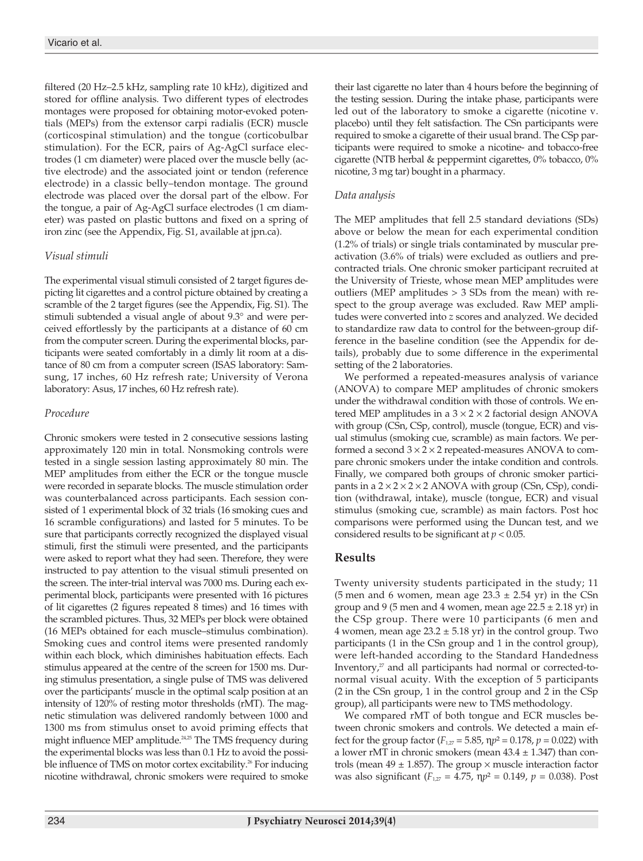filtered (20 Hz–2.5 kHz, sampling rate 10 kHz), digitized and stored for offline analysis. Two different types of electrodes montages were proposed for obtaining motor-evoked potentials (MEPs) from the extensor carpi radialis (ECR) muscle (corticospinal stimulation) and the tongue (corticobulbar stimulation). For the ECR, pairs of Ag-AgCl surface electrodes (1 cm diameter) were placed over the muscle belly (active electrode) and the associated joint or tendon (reference electrode) in a classic belly–tendon montage. The ground electrode was placed over the dorsal part of the elbow. For the tongue, a pair of Ag-AgCl surface electrodes (1 cm diameter) was pasted on plastic buttons and fixed on a spring of iron zinc (see the Appendix, Fig. S1, available at jpn.ca).

## *Visual stimuli*

The experimental visual stimuli consisted of 2 target figures depicting lit cigarettes and a control picture obtained by creating a scramble of the 2 target figures (see the Appendix, Fig. S1). The stimuli subtended a visual angle of about 9.3° and were perceived effortlessly by the participants at a distance of 60 cm from the computer screen. During the experimental blocks, participants were seated comfortably in a dimly lit room at a distance of 80 cm from a computer screen (ISAS laboratory: Samsung, 17 inches, 60 Hz refresh rate; University of Verona laboratory: Asus, 17 inches, 60 Hz refresh rate).

## *Procedure*

Chronic smokers were tested in 2 consecutive sessions lasting approximately 120 min in total. Nonsmoking controls were tested in a single session lasting approximately 80 min. The MEP amplitudes from either the ECR or the tongue muscle were recorded in separate blocks. The muscle stimulation order was counterbalanced across participants. Each session consisted of 1 experimental block of 32 trials (16 smoking cues and 16 scramble configurations) and lasted for 5 minutes. To be sure that participants correctly recognized the displayed visual stimuli, first the stimuli were presented, and the participants were asked to report what they had seen. Therefore, they were instructed to pay attention to the visual stimuli presented on the screen. The inter-trial interval was 7000 ms. During each experimental block, participants were presented with 16 pictures of lit cigarettes (2 figures repeated 8 times) and 16 times with the scrambled pictures. Thus, 32 MEPs per block were obtained (16 MEPs obtained for each muscle–stimulus combination). Smoking cues and control items were presented randomly within each block, which diminishes habituation effects. Each stimulus appeared at the centre of the screen for 1500 ms. During stimulus presentation, a single pulse of TMS was delivered over the participants' muscle in the optimal scalp position at an intensity of 120% of resting motor thresholds (rMT). The magnetic stimulation was delivered randomly between 1000 and 1300 ms from stimulus onset to avoid priming effects that might influence MEP amplitude.<sup>24,25</sup> The TMS frequency during the experimental blocks was less than 0.1 Hz to avoid the possible influence of TMS on motor cortex excitability. <sup>26</sup> For inducing nicotine withdrawal, chronic smokers were required to smoke

their last cigarette no later than 4 hours before the beginning of the testing session. During the intake phase, participants were led out of the laboratory to smoke a cigarette (nicotine v. placebo) until they felt satisfaction. The CSn participants were required to smoke a cigarette of their usual brand. The CSp participants were required to smoke a nicotine- and tobacco-free cigarette (NTB herbal & peppermint cigarettes, 0% tobacco, 0% nicotine, 3 mg tar) bought in a pharmacy.

#### *Data analysis*

The MEP amplitudes that fell 2.5 standard deviations (SDs) above or below the mean for each experimental condition (1.2% of trials) or single trials contaminated by muscular preactivation (3.6% of trials) were excluded as outliers and precontracted trials. One chronic smoker participant recruited at the University of Trieste, whose mean MEP amplitudes were outliers (MEP amplitudes > 3 SDs from the mean) with respect to the group average was excluded. Raw MEP amplitudes were converted into *z* scores and analyzed. We decided to standardize raw data to control for the between-group difference in the baseline condition (see the Appendix for details), probably due to some difference in the experimental setting of the 2 laboratories.

We performed a repeated-measures analysis of variance (ANOVA) to compare MEP amplitudes of chronic smokers under the withdrawal condition with those of controls. We entered MEP amplitudes in a  $3 \times 2 \times 2$  factorial design ANOVA with group (CSn, CSp, control), muscle (tongue, ECR) and visual stimulus (smoking cue, scramble) as main factors. We performed a second  $3 \times 2 \times 2$  repeated-measures ANOVA to compare chronic smokers under the intake condition and controls. Finally, we compared both groups of chronic smoker participants in a  $2 \times 2 \times 2 \times 2$  ANOVA with group (CSn, CSp), condition (withdrawal, intake), muscle (tongue, ECR) and visual stimulus (smoking cue, scramble) as main factors. Post hoc comparisons were performed using the Duncan test, and we considered results to be significant at  $p < 0.05$ .

## **Results**

Twenty university students participated in the study; 11 (5 men and 6 women, mean age  $23.3 \pm 2.54$  yr) in the CSn group and 9 (5 men and 4 women, mean age  $22.5 \pm 2.18$  yr) in the CSp group. There were 10 participants (6 men and 4 women, mean age  $23.2 \pm 5.18$  yr) in the control group. Two participants (1 in the CSn group and 1 in the control group), were left-handed according to the Standard Handedness Inventory,<sup>2</sup> and all participants had normal or corrected-tonormal visual acuity. With the exception of 5 participants (2 in the CSn group, 1 in the control group and 2 in the CSp group), all participants were new to TMS methodology.

We compared rMT of both tongue and ECR muscles between chronic smokers and controls. We detected a main effect for the group factor  $(F_{127} = 5.85, \eta p^2 = 0.178, p = 0.022)$  with a lower rMT in chronic smokers (mean  $43.4 \pm 1.347$ ) than controls (mean  $49 \pm 1.857$ ). The group  $\times$  muscle interaction factor was also significant ( $F_{1,27} = 4.75$ ,  $np^2 = 0.149$ ,  $p = 0.038$ ). Post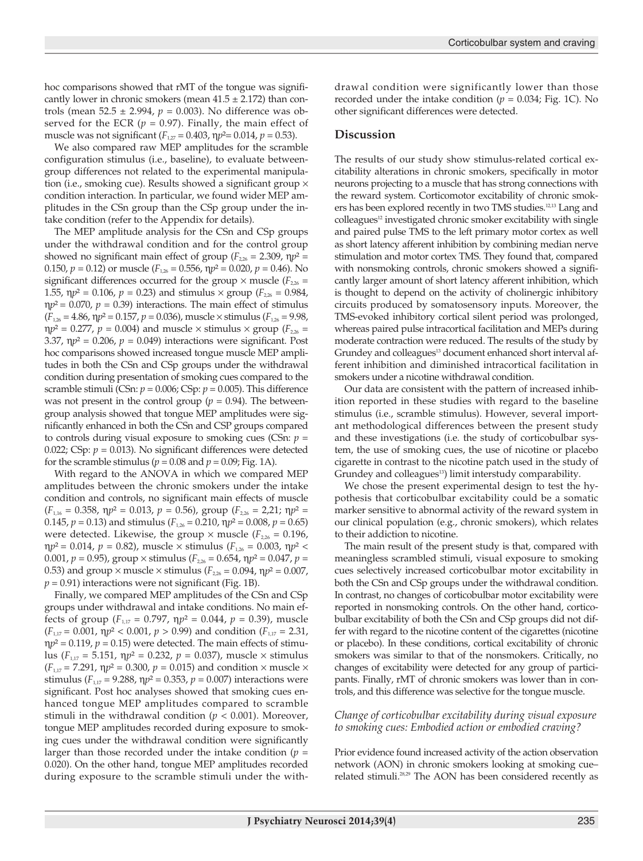hoc comparisons showed that rMT of the tongue was significantly lower in chronic smokers (mean  $41.5 \pm 2.172$ ) than controls (mean  $52.5 \pm 2.994$ ,  $p = 0.003$ ). No difference was observed for the ECR ( $p = 0.97$ ). Finally, the main effect of muscle was not significant ( $F_{1,27} = 0.403$ ,  $\eta p^2 = 0.014$ ,  $p = 0.53$ ).

We also compared raw MEP amplitudes for the scramble configuration stimulus (i.e., baseline), to evaluate betweengroup differences not related to the experimental manipulation (i.e., smoking cue). Results showed a significant group  $\times$ condition interaction. In particular, we found wider MEP amplitudes in the CSn group than the CSp group under the intake condition (refer to the Appendix for details).

The MEP amplitude analysis for the CSn and CSp groups under the withdrawal condition and for the control group showed no significant main effect of group ( $F_{2,26}$  = 2.309,  $np^2$  = 0.150,  $p = 0.12$ ) or muscle ( $F_{1,26} = 0.556$ ,  $\eta p^2 = 0.020$ ,  $p = 0.46$ ). No significant differences occurred for the group  $\times$  muscle ( $F_{226}$  = 1.55,  $np^2 = 0.106$ ,  $p = 0.23$ ) and stimulus  $\times$  group ( $F_{2,26} = 0.984$ ,  $\eta p^2 = 0.070$ ,  $p = 0.39$ ) interactions. The main effect of stimulus  $(F_{126} = 4.86, \eta p^2 = 0.157, p = 0.036)$ , muscle × stimulus  $(F_{126} = 9.98,$  $np^2 = 0.277$ ,  $p = 0.004$ ) and muscle  $\times$  stimulus  $\times$  group ( $F_{2,26}$  = 3.37,  $np^2 = 0.206$ ,  $p = 0.049$ ) interactions were significant. Post hoc comparisons showed increased tongue muscle MEP amplitudes in both the CSn and CSp groups under the withdrawal condition during presentation of smoking cues compared to the scramble stimuli (CSn:  $p = 0.006$ ; CSp:  $p = 0.005$ ). This difference was not present in the control group ( $p = 0.94$ ). The betweengroup analysis showed that tongue MEP amplitudes were significantly enhanced in both the CSn and CSP groups compared to controls during visual exposure to smoking cues (CSn:  $p =$ 0.022; CSp:  $p = 0.013$ ). No significant differences were detected for the scramble stimulus ( $p = 0.08$  and  $p = 0.09$ ; Fig. 1A).

With regard to the ANOVA in which we compared MEP amplitudes between the chronic smokers under the intake condition and controls, no significant main effects of muscle  $(F_{1,16} = 0.358, \eta p^2 = 0.013, p = 0.56$ , group  $(F_{2,26} = 2.21; \eta p^2 = 0.013)$ 0.145,  $p = 0.13$ ) and stimulus ( $F_{1,26} = 0.210$ ,  $np^2 = 0.008$ ,  $p = 0.65$ ) were detected. Likewise, the group  $\times$  muscle ( $F_{2,26} = 0.196$ ,  $\eta p^2 = 0.014$ ,  $p = 0.82$ ), muscle  $\times$  stimulus ( $F_{1,26} = 0.003$ ,  $\eta p^2$  < 0.001,  $p = 0.95$ ), group  $\times$  stimulus ( $F_{2,26} = 0.654$ ,  $\eta p^2 = 0.047$ ,  $p =$ 0.53) and group  $\times$  muscle  $\times$  stimulus ( $F_{226} = 0.094$ ,  $np^2 = 0.007$ ,  $p = 0.91$ ) interactions were not significant (Fig. 1B).

Finally, we compared MEP amplitudes of the CSn and CSp groups under withdrawal and intake conditions. No main effects of group  $(F_{1,17} = 0.797, \eta p^2 = 0.044, p = 0.39)$ , muscle  $(F_{1,17} = 0.001, \eta p^2 < 0.001, p > 0.99)$  and condition  $(F_{1,17} = 2.31,$  $np^2 = 0.119$ ,  $p = 0.15$ ) were detected. The main effects of stimulus ( $F_{1,17} = 5.151$ ,  $\eta p^2 = 0.232$ ,  $p = 0.037$ ), muscle  $\times$  stimulus  $(F_{1,17} = 7.291, \eta p^2 = 0.300, p = 0.015)$  and condition  $\times$  muscle  $\times$ stimulus ( $F_{1,17}$  = 9.288,  $np^2$  = 0.353,  $p = 0.007$ ) interactions were significant. Post hoc analyses showed that smoking cues enhanced tongue MEP amplitudes compared to scramble stimuli in the withdrawal condition ( $p < 0.001$ ). Moreover, tongue MEP amplitudes recorded during exposure to smoking cues under the withdrawal condition were significantly larger than those recorded under the intake condition  $(p =$ 0.020). On the other hand, tongue MEP amplitudes recorded during exposure to the scramble stimuli under the withdrawal condition were significantly lower than those recorded under the intake condition ( $p = 0.034$ ; Fig. 1C). No other significant differences were detected.

#### **Discussion**

The results of our study show stimulus-related cortical excitability alterations in chronic smokers, specifically in motor neurons projecting to a muscle that has strong connections with the reward system. Corticomotor excitability of chronic smokers has been explored recently in two TMS studies. 12,13 Lang and colleagues<sup>12</sup> investigated chronic smoker excitability with single and paired pulse TMS to the left primary motor cortex as well as short latency afferent inhibition by combining median nerve stimulation and motor cortex TMS. They found that, compared with nonsmoking controls, chronic smokers showed a significantly larger amount of short latency afferent inhibition, which is thought to depend on the activity of cholinergic inhibitory circuits produced by somatosensory inputs. Moreover, the TMS-evoked inhibitory cortical silent period was prolonged, whereas paired pulse intracortical facilitation and MEPs during moderate contraction were reduced. The results of the study by Grundey and colleagues<sup>13</sup> document enhanced short interval afferent inhibition and diminished intracortical facilitation in smokers under a nicotine withdrawal condition.

Our data are consistent with the pattern of increased inhibition reported in these studies with regard to the baseline stimulus (i.e., scramble stimulus). However, several important methodological differences between the present study and these investigations (i.e. the study of corticobulbar system, the use of smoking cues, the use of nicotine or placebo cigarette in contrast to the nicotine patch used in the study of Grundey and colleagues<sup>13</sup>) limit interstudy comparability.

We chose the present experimental design to test the hypothesis that corticobulbar excitability could be a somatic marker sensitive to abnormal activity of the reward system in our clinical population (e.g., chronic smokers), which relates to their addiction to nicotine.

The main result of the present study is that, compared with meaningless scrambled stimuli, visual exposure to smoking cues selectively increased corticobulbar motor excitability in both the CSn and CSp groups under the withdrawal condition. In contrast, no changes of corticobulbar motor excitability were reported in nonsmoking controls. On the other hand, corticobulbar excitability of both the CSn and CSp groups did not differ with regard to the nicotine content of the cigarettes (nicotine or placebo). In these conditions, cortical excitability of chronic smokers was similar to that of the nonsmokers. Critically, no changes of excitability were detected for any group of participants. Finally, rMT of chronic smokers was lower than in controls, and this difference was selective for the tongue muscle.

#### *Change of corticobulbar excitability during visual exposure to smoking cues: Embodied action or embodied craving?*

Prior evidence found increased activity of the action observation network (AON) in chronic smokers looking at smoking cue– related stimuli. 28,29 The AON has been considered recently as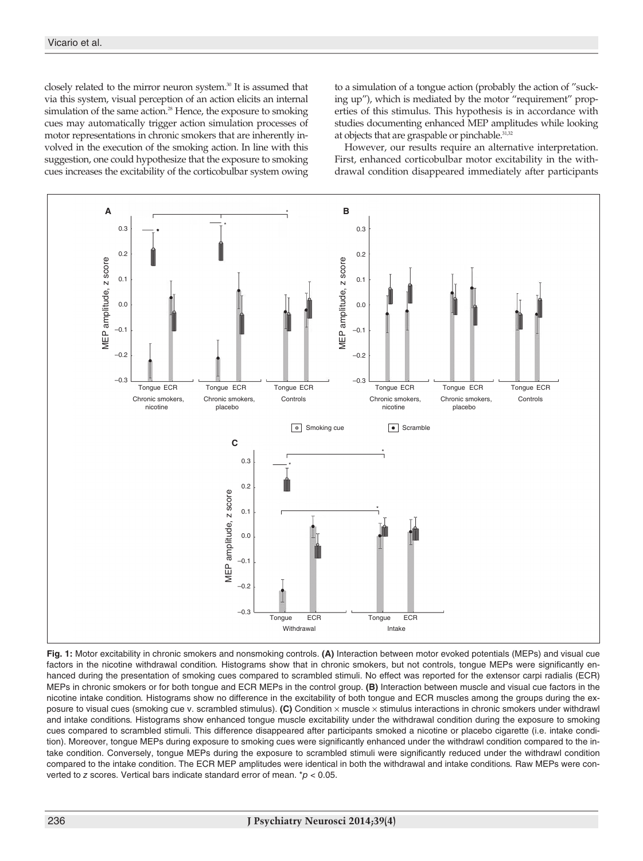closely related to the mirror neuron system. <sup>30</sup> It is assumed that via this system, visual perception of an action elicits an internal simulation of the same action. <sup>28</sup> Hence, the exposure to smoking cues may automatically trigger action simulation processes of motor representations in chronic smokers that are inherently involved in the execution of the smoking action. In line with this suggestion, one could hypothesize that the exposure to smoking cues increases the excitability of the corticobulbar system owing to a simulation of a tongue action (probably the action of "sucking up"), which is mediated by the motor "requirement" properties of this stimulus. This hypothesis is in accordance with studies documenting enhanced MEP amplitudes while looking at objects that are graspable or pinchable.<sup>31,32</sup>

However, our results require an alternative interpretation. First, enhanced corticobulbar motor excitability in the withdrawal condition disappeared immediately after participants



**Fig. 1:** Motor excitability in chronic smokers and nonsmoking controls. **(A)** Interaction between motor evoked potentials (MEPs) and visual cue factors in the nicotine withdrawal condition*.* Histograms show that in chronic smokers, but not controls, tongue MEPs were significantly enhanced during the presentation of smoking cues compared to scrambled stimuli. No effect was reported for the extensor carpi radialis (ECR) MEPs in chronic smokers or for both tongue and ECR MEPs in the control group. **(B)** Interaction between muscle and visual cue factors in the nicotine intake condition*.* Histograms show no difference in the excitability of both tongue and ECR muscles among the groups during the exposure to visual cues (smoking cue v. scrambled stimulus). **(C)** Condition × muscle × stimulus interactions in chronic smokers under withdrawl and intake conditions*.* Histograms show enhanced tongue muscle excitability under the withdrawal condition during the exposure to smoking cues compared to scrambled stimuli. This difference disappeared after participants smoked a nicotine or placebo cigarette (i.e. intake condition). Moreover, tongue MEPs during exposure to smoking cues were significantly enhanced under the withdrawl condition compared to the intake condition. Conversely, tongue MEPs during the exposure to scrambled stimuli were significantly reduced under the withdrawl condition compared to the intake condition. The ECR MEP amplitudes were identical in both the withdrawal and intake conditions*.* Raw MEPs were converted to *z* scores. Vertical bars indicate standard error of mean. \**p* < 0.05.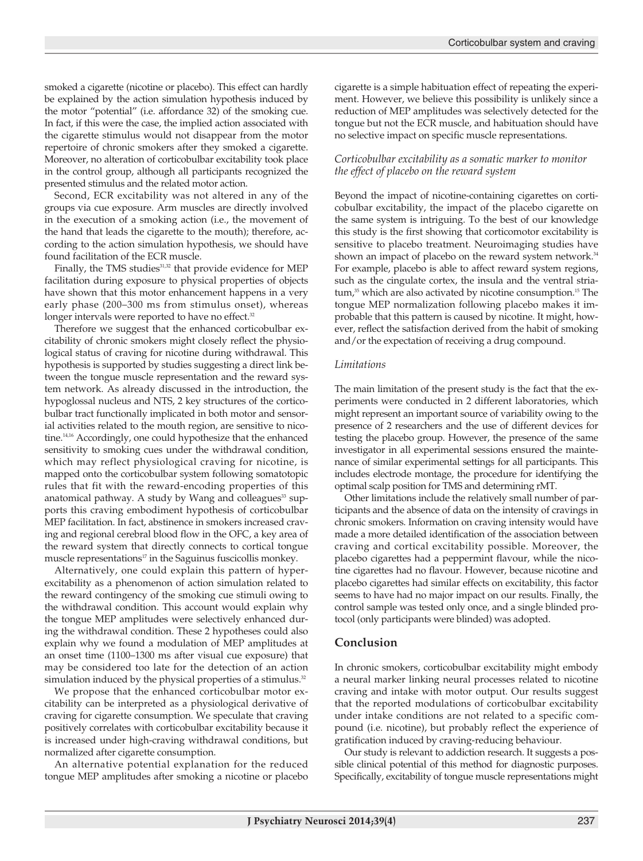smoked a cigarette (nicotine or placebo). This effect can hardly be explained by the action simulation hypothesis induced by the motor "potential" (i.e. affordance 32) of the smoking cue. In fact, if this were the case, the implied action associated with the cigarette stimulus would not disappear from the motor repertoire of chronic smokers after they smoked a cigarette. Moreover, no alteration of corticobulbar excitability took place in the control group, although all participants recognized the presented stimulus and the related motor action.

Second, ECR excitability was not altered in any of the groups via cue exposure. Arm muscles are directly involved in the execution of a smoking action (i.e., the movement of the hand that leads the cigarette to the mouth); therefore, according to the action simulation hypothesis, we should have found facilitation of the ECR muscle.

Finally, the TMS studies<sup>31,32</sup> that provide evidence for MEP facilitation during exposure to physical properties of objects have shown that this motor enhancement happens in a very early phase (200–300 ms from stimulus onset), whereas longer intervals were reported to have no effect.<sup>32</sup>

Therefore we suggest that the enhanced corticobulbar excitability of chronic smokers might closely reflect the physiological status of craving for nicotine during withdrawal. This hypothesis is supported by studies suggesting a direct link between the tongue muscle representation and the reward system network. As already discussed in the introduction, the hypoglossal nucleus and NTS, 2 key structures of the corticobulbar tract functionally implicated in both motor and sensorial activities related to the mouth region, are sensitive to nicotine. 14,16 Accordingly, one could hypothesize that the enhanced sensitivity to smoking cues under the withdrawal condition, which may reflect physiological craving for nicotine, is mapped onto the corticobulbar system following somatotopic rules that fit with the reward-encoding properties of this anatomical pathway. A study by Wang and colleagues<sup>33</sup> supports this craving embodiment hypothesis of corticobulbar MEP facilitation. In fact, abstinence in smokers increased craving and regional cerebral blood flow in the OFC, a key area of the reward system that directly connects to cortical tongue muscle representations $17$  in the Saguinus fuscicollis monkey.

Alternatively, one could explain this pattern of hyperexcitability as a phenomenon of action simulation related to the reward contingency of the smoking cue stimuli owing to the withdrawal condition. This account would explain why the tongue MEP amplitudes were selectively enhanced during the withdrawal condition. These 2 hypotheses could also explain why we found a modulation of MEP amplitudes at an onset time (1100–1300 ms after visual cue exposure) that may be considered too late for the detection of an action simulation induced by the physical properties of a stimulus. $^{32}$ 

We propose that the enhanced corticobulbar motor excitability can be interpreted as a physiological derivative of craving for cigarette consumption. We speculate that craving positively correlates with corticobulbar excitability because it is increased under high-craving withdrawal conditions, but normalized after cigarette consumption.

An alternative potential explanation for the reduced tongue MEP amplitudes after smoking a nicotine or placebo cigarette is a simple habituation effect of repeating the experiment. However, we believe this possibility is unlikely since a reduction of MEP amplitudes was selectively detected for the tongue but not the ECR muscle, and habituation should have no selective impact on specific muscle representations.

#### *Corticobulbar excitability as a somatic marker to monitor the effect of placebo on the reward system*

Beyond the impact of nicotine-containing cigarettes on corticobulbar excitability, the impact of the placebo cigarette on the same system is intriguing. To the best of our knowledge this study is the first showing that corticomotor excitability is sensitive to placebo treatment. Neuroimaging studies have shown an impact of placebo on the reward system network. 34 For example, placebo is able to affect reward system regions, such as the cingulate cortex, the insula and the ventral striatum, <sup>35</sup> which are also activated by nicotine consumption. <sup>15</sup> The tongue MEP normalization following placebo makes it improbable that this pattern is caused by nicotine. It might, however, reflect the satisfaction derived from the habit of smoking and/or the expectation of receiving a drug compound.

#### *Limitations*

The main limitation of the present study is the fact that the experiments were conducted in 2 different laboratories, which might represent an important source of variability owing to the presence of 2 researchers and the use of different devices for testing the placebo group. However, the presence of the same investigator in all experimental sessions ensured the maintenance of similar experimental settings for all participants. This includes electrode montage, the procedure for identifying the optimal scalp position for TMS and determining rMT.

Other limitations include the relatively small number of participants and the absence of data on the intensity of cravings in chronic smokers. Information on craving intensity would have made a more detailed identification of the association between craving and cortical excitability possible. Moreover, the placebo cigarettes had a peppermint flavour, while the nicotine cigarettes had no flavour. However, because nicotine and placebo cigarettes had similar effects on excitability, this factor seems to have had no major impact on our results. Finally, the control sample was tested only once, and a single blinded protocol (only participants were blinded) was adopted.

## **Conclusion**

In chronic smokers, corticobulbar excitability might embody a neural marker linking neural processes related to nicotine craving and intake with motor output. Our results suggest that the reported modulations of corticobulbar excitability under intake conditions are not related to a specific compound (i.e. nicotine), but probably reflect the experience of gratification induced by craving-reducing behaviour.

Our study is relevant to addiction research. It suggests a possible clinical potential of this method for diagnostic purposes. Specifically, excitability of tongue muscle representations might